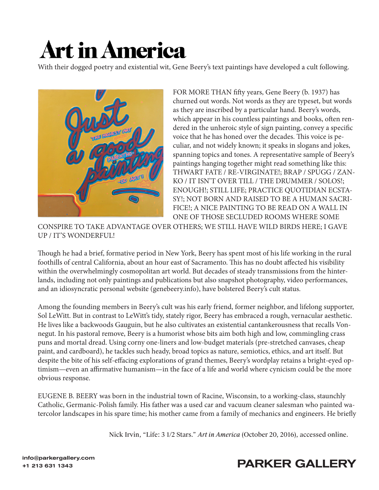## **Art in America**

With their dogged poetry and existential wit, Gene Beery's text paintings have developed a cult following.



FOR MORE THAN fifty years, Gene Beery (b. 1937) has churned out words. Not words as they are typeset, but words as they are inscribed by a particular hand. Beery's words, which appear in his countless paintings and books, often rendered in the unheroic style of sign painting, convey a specific voice that he has honed over the decades. This voice is peculiar, and not widely known; it speaks in slogans and jokes, spanning topics and tones. A representative sample of Beery's paintings hanging together might read something like this: THWART FATE / RE-VIRGINATE!; BRAP / SPUGG / ZAN-KO / IT ISN'T OVER TILL / THE DRUMMER / SOLOS!; ENOUGH!; STILL LIFE; PRACTICE QUOTIDIAN ECSTA-SY!; NOT BORN AND RAISED TO BE A HUMAN SACRI-FICE!; A NICE PAINTING TO BE READ ON A WALL IN ONE OF THOSE SECLUDED ROOMS WHERE SOME

CONSPIRE TO TAKE ADVANTAGE OVER OTHERS; WE STILL HAVE WILD BIRDS HERE; I GAVE UP / IT'S WONDERFUL!

Though he had a brief, formative period in New York, Beery has spent most of his life working in the rural foothills of central California, about an hour east of Sacramento. This has no doubt affected his visibility within the overwhelmingly cosmopolitan art world. But decades of steady transmissions from the hinterlands, including not only paintings and publications but also snapshot photography, video performances, and an idiosyncratic personal website (genebeery.info), have bolstered Beery's cult status.

Among the founding members in Beery's cult was his early friend, former neighbor, and lifelong supporter, Sol LeWitt. But in contrast to LeWitt's tidy, stately rigor, Beery has embraced a rough, vernacular aesthetic. He lives like a backwoods Gauguin, but he also cultivates an existential cantankerousness that recalls Vonnegut. In his pastoral remove, Beery is a humorist whose bits aim both high and low, commingling crass puns and mortal dread. Using corny one-liners and low-budget materials (pre-stretched canvases, cheap paint, and cardboard), he tackles such heady, broad topics as nature, semiotics, ethics, and art itself. But despite the bite of his self-effacing explorations of grand themes, Beery's wordplay retains a bright-eyed optimism—even an affirmative humanism—in the face of a life and world where cynicism could be the more obvious response.

EUGENE B. BEERY was born in the industrial town of Racine, Wisconsin, to a working-class, staunchly Catholic, Germanic-Polish family. His father was a used car and vacuum cleaner salesman who painted watercolor landscapes in his spare time; his mother came from a family of mechanics and engineers. He briefly



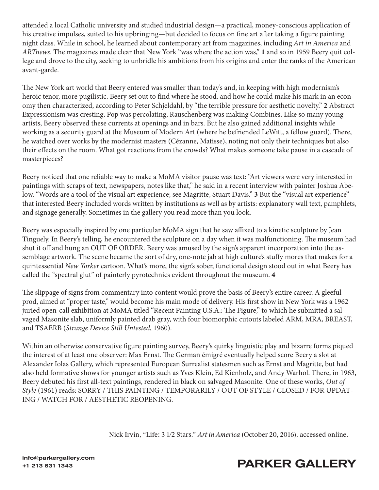attended a local Catholic university and studied industrial design—a practical, money-conscious application of his creative impulses, suited to his upbringing—but decided to focus on fine art after taking a figure painting night class. While in school, he learned about contemporary art from magazines, including *Art in America* and *ARTnews*. The magazines made clear that New York "was where the action was," **1** and so in 1959 Beery quit college and drove to the city, seeking to unbridle his ambitions from his origins and enter the ranks of the American avant-garde.

The New York art world that Beery entered was smaller than today's and, in keeping with high modernism's heroic tenor, more pugilistic. Beery set out to find where he stood, and how he could make his mark in an economy then characterized, according to Peter Schjeldahl, by "the terrible pressure for aesthetic novelty." **2** Abstract Expressionism was cresting, Pop was percolating, Rauschenberg was making Combines. Like so many young artists, Beery observed these currents at openings and in bars. But he also gained additional insights while working as a security guard at the Museum of Modern Art (where he befriended LeWitt, a fellow guard). There, he watched over works by the modernist masters (Cézanne, Matisse), noting not only their techniques but also their effects on the room. What got reactions from the crowds? What makes someone take pause in a cascade of masterpieces?

Beery noticed that one reliable way to make a MoMA visitor pause was text: "Art viewers were very interested in paintings with scraps of text, newspapers, notes like that," he said in a recent interview with painter Joshua Abelow. "Words are a tool of the visual art experience; see Magritte, Stuart Davis." **3** But the "visual art experience" that interested Beery included words written by institutions as well as by artists: explanatory wall text, pamphlets, and signage generally. Sometimes in the gallery you read more than you look.

Beery was especially inspired by one particular MoMA sign that he saw affixed to a kinetic sculpture by Jean Tinguely. In Beery's telling, he encountered the sculpture on a day when it was malfunctioning. The museum had shut it off and hung an OUT OF ORDER. Beery was amused by the sign's apparent incorporation into the assemblage artwork. The scene became the sort of dry, one-note jab at high culture's stuffy mores that makes for a quintessential *New Yorker* cartoon. What's more, the sign's sober, functional design stood out in what Beery has called the "spectral glut" of painterly pyrotechnics evident throughout the museum. **4**

The slippage of signs from commentary into content would prove the basis of Beery's entire career. A gleeful prod, aimed at "proper taste," would become his main mode of delivery. His first show in New York was a 1962 juried open-call exhibition at MoMA titled "Recent Painting U.S.A.: The Figure," to which he submitted a salvaged Masonite slab, uniformly painted drab gray, with four biomorphic cutouts labeled ARM, MRA, BREAST, and TSAERB (*Strange Device Still Untested*, 1960).

Within an otherwise conservative figure painting survey, Beery's quirky linguistic play and bizarre forms piqued the interest of at least one observer: Max Ernst. The German émigré eventually helped score Beery a slot at Alexander Iolas Gallery, which represented European Surrealist statesmen such as Ernst and Magritte, but had also held formative shows for younger artists such as Yves Klein, Ed Kienholz, and Andy Warhol. There, in 1963, Beery debuted his first all-text paintings, rendered in black on salvaged Masonite. One of these works, *Out of Style* (1961) reads: SORRY / THIS PAINTING / TEMPORARILY / OUT OF STYLE / CLOSED / FOR UPDAT-ING / WATCH FOR / AESTHETIC REOPENING.

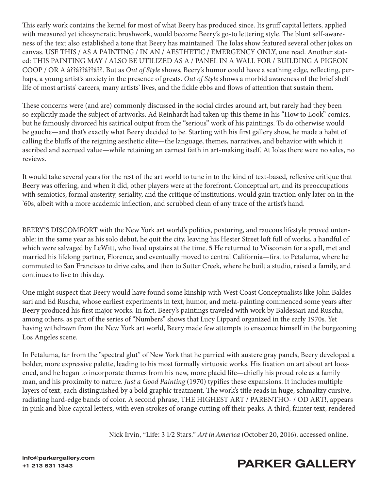This early work contains the kernel for most of what Beery has produced since. Its gruff capital letters, applied with measured yet idiosyncratic brushwork, would become Beery's go-to lettering style. The blunt self-awareness of the text also established a tone that Beery has maintained. The Iolas show featured several other jokes on canvas. USE THIS / AS A PAINTING / IN AN / AESTHETIC / EMERGENCY ONLY, one read. Another stated: THIS PAINTING MAY / ALSO BE UTILIZED AS A / PANEL IN A WALL FOR / BUILDING A PIGEON COOP / OR A â??â??â??â??. But as *Out of Style* shows, Beery's humor could have a scathing edge, reflecting, perhaps, a young artist's anxiety in the presence of greats. *Out of Style* shows a morbid awareness of the brief shelf life of most artists' careers, many artists' lives, and the fickle ebbs and flows of attention that sustain them.

These concerns were (and are) commonly discussed in the social circles around art, but rarely had they been so explicitly made the subject of artworks. Ad Reinhardt had taken up this theme in his "How to Look" comics, but he famously divorced his satirical output from the "serious" work of his paintings. To do otherwise would be gauche—and that's exactly what Beery decided to be. Starting with his first gallery show, he made a habit of calling the bluffs of the reigning aesthetic elite—the language, themes, narratives, and behavior with which it ascribed and accrued value—while retaining an earnest faith in art-making itself. At Iolas there were no sales, no reviews.

It would take several years for the rest of the art world to tune in to the kind of text-based, reflexive critique that Beery was offering, and when it did, other players were at the forefront. Conceptual art, and its preoccupations with semiotics, formal austerity, seriality, and the critique of institutions, would gain traction only later on in the '60s, albeit with a more academic inflection, and scrubbed clean of any trace of the artist's hand.

BEERY'S DISCOMFORT with the New York art world's politics, posturing, and raucous lifestyle proved untenable: in the same year as his solo debut, he quit the city, leaving his Hester Street loft full of works, a handful of which were salvaged by LeWitt, who lived upstairs at the time. **5** He returned to Wisconsin for a spell, met and married his lifelong partner, Florence, and eventually moved to central California—first to Petaluma, where he commuted to San Francisco to drive cabs, and then to Sutter Creek, where he built a studio, raised a family, and continues to live to this day.

One might suspect that Beery would have found some kinship with West Coast Conceptualists like John Baldessari and Ed Ruscha, whose earliest experiments in text, humor, and meta-painting commenced some years after Beery produced his first major works. In fact, Beery's paintings traveled with work by Baldessari and Ruscha, among others, as part of the series of "Numbers" shows that Lucy Lippard organized in the early 1970s. Yet having withdrawn from the New York art world, Beery made few attempts to ensconce himself in the burgeoning Los Angeles scene.

In Petaluma, far from the "spectral glut" of New York that he parried with austere gray panels, Beery developed a bolder, more expressive palette, leading to his most formally virtuosic works. His fixation on art about art loosened, and he began to incorporate themes from his new, more placid life—chiefly his proud role as a family man, and his proximity to nature. *Just a Good Painting* (1970) typifies these expansions. It includes multiple layers of text, each distinguished by a bold graphic treatment. The work's title reads in huge, schmaltzy cursive, radiating hard-edge bands of color. A second phrase, THE HIGHEST ART / PARENTHO- / OD ART!, appears in pink and blue capital letters, with even strokes of orange cutting off their peaks. A third, fainter text, rendered

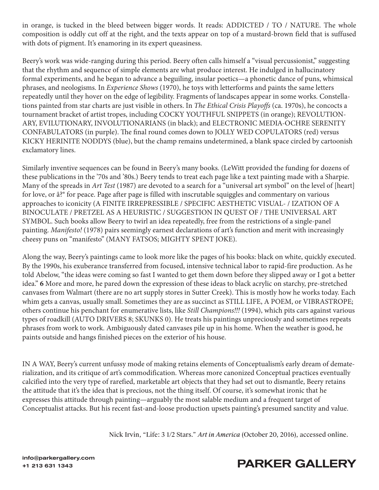in orange, is tucked in the bleed between bigger words. It reads: ADDICTED / TO / NATURE. The whole composition is oddly cut off at the right, and the texts appear on top of a mustard-brown field that is suffused with dots of pigment. It's enamoring in its expert queasiness.

Beery's work was wide-ranging during this period. Beery often calls himself a "visual percussionist," suggesting that the rhythm and sequence of simple elements are what produce interest. He indulged in hallucinatory formal experiments, and he began to advance a beguiling, insular poetics—a phonetic dance of puns, whimsical phrases, and neologisms. In *Experience Shows* (1970), he toys with letterforms and paints the same letters repeatedly until they hover on the edge of legibility. Fragments of landscapes appear in some works. Constellations painted from star charts are just visible in others. In *The Ethical Crisis Playoffs* (ca. 1970s), he concocts a tournament bracket of artist tropes, including COCKY YOUTHFUL SNIPPETS (in orange); REVOLUTION-ARY, EVILUTIONARY, INVOLUTIONARIANS (in black); and ELECTRONIC MEDIA-OCHRE SERENITY CONFABULATORS (in purple). The final round comes down to JOLLY WED COPULATORS (red) versus KICKY HERINITE NODDYS (blue), but the champ remains undetermined, a blank space circled by cartoonish exclamatory lines.

Similarly inventive sequences can be found in Beery's many books. (LeWitt provided the funding for dozens of these publications in the '70s and '80s.) Beery tends to treat each page like a text painting made with a Sharpie. Many of the spreads in *Art Test* (1987) are devoted to a search for a "universal art symbol" on the level of [heart] for love, or â?® for peace. Page after page is filled with inscrutable squiggles and commentary on various approaches to iconicity (A FINITE IRREPRESSIBLE / SPECIFIC AESTHETIC VISUAL- / IZATION OF A BINOCULATE / PRETZEL AS A HEURISTIC / SUGGESTION IN QUEST OF / THE UNIVERSAL ART SYMBOL. Such books allow Beery to twirl an idea repeatedly, free from the restrictions of a single-panel painting. *Manifesto!* (1978) pairs seemingly earnest declarations of art's function and merit with increasingly cheesy puns on "manifesto" (MANY FATSOS; MIGHTY SPENT JOKE).

Along the way, Beery's paintings came to look more like the pages of his books: black on white, quickly executed. By the 1990s, his exuberance transferred from focused, intensive technical labor to rapid-fire production. As he told Abelow, "the ideas were coming so fast I wanted to get them down before they slipped away or I got a better idea." **6** More and more, he pared down the expression of these ideas to black acrylic on starchy, pre-stretched canvases from Walmart (there are no art supply stores in Sutter Creek). This is mostly how he works today. Each whim gets a canvas, usually small. Sometimes they are as succinct as STILL LIFE, A POEM, or VIBRASTROPE; others continue his penchant for enumerative lists, like *Still Champions!!!* (1994), which pits cars against various types of roadkill (AUTO DRIVERS 8; SKUNKS 0). He treats his paintings unpreciously and sometimes repeats phrases from work to work. Ambiguously dated canvases pile up in his home. When the weather is good, he paints outside and hangs finished pieces on the exterior of his house.

IN A WAY, Beery's current unfussy mode of making retains elements of Conceptualism's early dream of dematerialization, and its critique of art's commodification. Whereas more canonized Conceptual practices eventually calcified into the very type of rarefied, marketable art objects that they had set out to dismantle, Beery retains the attitude that it's the idea that is precious, not the thing itself. Of course, it's somewhat ironic that he expresses this attitude through painting—arguably the most salable medium and a frequent target of Conceptualist attacks. But his recent fast-and-loose production upsets painting's presumed sanctity and value.

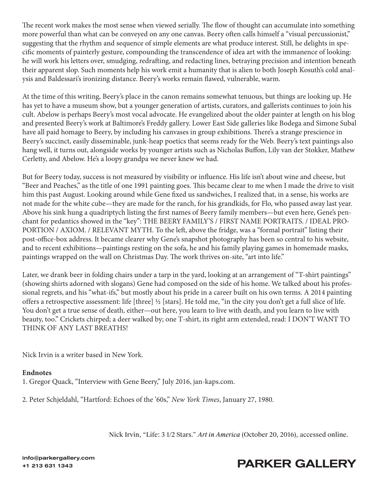The recent work makes the most sense when viewed serially. The flow of thought can accumulate into something more powerful than what can be conveyed on any one canvas. Beery often calls himself a "visual percussionist," suggesting that the rhythm and sequence of simple elements are what produce interest. Still, he delights in specific moments of painterly gesture, compounding the transcendence of idea art with the immanence of looking: he will work his letters over, smudging, redrafting, and redacting lines, betraying precision and intention beneath their apparent slop. Such moments help his work emit a humanity that is alien to both Joseph Kosuth's cold analysis and Baldessari's ironizing distance. Beery's works remain flawed, vulnerable, warm.

At the time of this writing, Beery's place in the canon remains somewhat tenuous, but things are looking up. He has yet to have a museum show, but a younger generation of artists, curators, and gallerists continues to join his cult. Abelow is perhaps Beery's most vocal advocate. He evangelized about the older painter at length on his blog and presented Beery's work at Baltimore's Freddy gallery. Lower East Side galleries like Bodega and Simone Subal have all paid homage to Beery, by including his canvases in group exhibitions. There's a strange prescience in Beery's succinct, easily disseminable, junk-heap poetics that seems ready for the Web. Beery's text paintings also hang well, it turns out, alongside works by younger artists such as Nicholas Buffon, Lily van der Stokker, Mathew Cerletty, and Abelow. He's a loopy grandpa we never knew we had.

But for Beery today, success is not measured by visibility or influence. His life isn't about wine and cheese, but "Beer and Peaches," as the title of one 1991 painting goes. This became clear to me when I made the drive to visit him this past August. Looking around while Gene fixed us sandwiches, I realized that, in a sense, his works are not made for the white cube—they are made for the ranch, for his grandkids, for Flo, who passed away last year. Above his sink hung a quadriptych listing the first names of Beery family members—but even here, Gene's penchant for pedantics showed in the "key": THE BEERY FAMILY'S / FIRST NAME PORTRAITS. / IDEAL PRO-PORTION / AXIOM. / RELEVANT MYTH. To the left, above the fridge, was a "formal portrait" listing their post-office-box address. It became clearer why Gene's snapshot photography has been so central to his website, and to recent exhibitions—paintings resting on the sofa, he and his family playing games in homemade masks, paintings wrapped on the wall on Christmas Day. The work thrives on-site, "art into life."

Later, we drank beer in folding chairs under a tarp in the yard, looking at an arrangement of "T-shirt paintings" (showing shirts adorned with slogans) Gene had composed on the side of his home. We talked about his professional regrets, and his "what-ifs," but mostly about his pride in a career built on his own terms. A 2014 painting offers a retrospective assessment: life [three] ½ [stars]. He told me, "in the city you don't get a full slice of life. You don't get a true sense of death, either—out here, you learn to live with death, and you learn to live with beauty, too." Crickets chirped; a deer walked by; one T-shirt, its right arm extended, read: I DON'T WANT TO THINK OF ANY LAST BREATHS!

Nick Irvin is a writer based in New York.

## **Endnotes**

1. Gregor Quack, "Interview with Gene Beery," July 2016, jan-kaps.com.

2. Peter Schjeldahl, "Hartford: Echoes of the '60s," *New York Times*, January 27, 1980.

Nick Irvin, "Life: 3 1/2 Stars." *Art in America* [\(October 20, 2016\), accessed online.](https://www.artnews.com/art-in-america/features/life-63215/)



## +1 213 631 1343<br>+1 213 631 1343